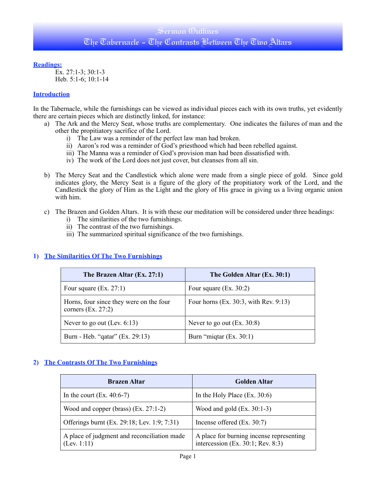## Sermon Outlines The Tabernacle - The Contrasts Between The Two Altars

#### **Readings:**

Ex. 27:1-3; 30:1-3 Heb. 5:1-6; 10:1-14

#### **Introduction**

In the Tabernacle, while the furnishings can be viewed as individual pieces each with its own truths, yet evidently there are certain pieces which are distinctly linked, for instance:

- a) The Ark and the Mercy Seat, whose truths are complementary. One indicates the failures of man and the other the propitiatory sacrifice of the Lord.
	- i) The Law was a reminder of the perfect law man had broken.
	- ii) Aaron's rod was a reminder of God's priesthood which had been rebelled against.
	- iii) The Manna was a reminder of God's provision man had been dissatisfied with.
	- iv) The work of the Lord does not just cover, but cleanses from all sin.
- b) The Mercy Seat and the Candlestick which alone were made from a single piece of gold. Since gold indicates glory, the Mercy Seat is a figure of the glory of the propitiatory work of the Lord, and the Candlestick the glory of Him as the Light and the glory of His grace in giving us a living organic union with him.
- c) The Brazen and Golden Altars. It is with these our meditation will be considered under three headings:
	- i) The similarities of the two furnishings.
	- ii) The contrast of the two furnishings.
	- iii) The summarized spiritual significance of the two furnishings.

## **1) The Similarities Of The Two Furnishings**

| The Brazen Altar (Ex. 27:1)                                     | The Golden Altar (Ex. 30:1)           |
|-----------------------------------------------------------------|---------------------------------------|
| Four square $(Ex. 27:1)$                                        | Four square $(Ex. 30:2)$              |
| Horns, four since they were on the four<br>corners $(Ex. 27:2)$ | Four horns (Ex. 30:3, with Rev. 9:13) |
| Never to go out (Lev. $6:13$ )                                  | Never to go out $(Ex. 30.8)$          |
| Burn - Heb. "qatar" (Ex. 29:13)                                 | Burn "miqtar (Ex. 30:1)               |

## **2) The Contrasts Of The Two Furnishings**

| <b>Brazen Altar</b>                                        | <b>Golden Altar</b>                                                           |
|------------------------------------------------------------|-------------------------------------------------------------------------------|
| In the court $(Ex. 40:6-7)$                                | In the Holy Place $(Ex. 30:6)$                                                |
| Wood and copper (brass) $(Ex. 27:1-2)$                     | Wood and gold $(Ex. 30:1-3)$                                                  |
| Offerings burnt (Ex. 29:18; Lev. 1:9; 7:31)                | Incense offered $(Ex. 30:7)$                                                  |
| A place of judgment and reconciliation made<br>(Lev. 1:11) | A place for burning incense representing<br>intercession (Ex. 30:1; Rev. 8:3) |